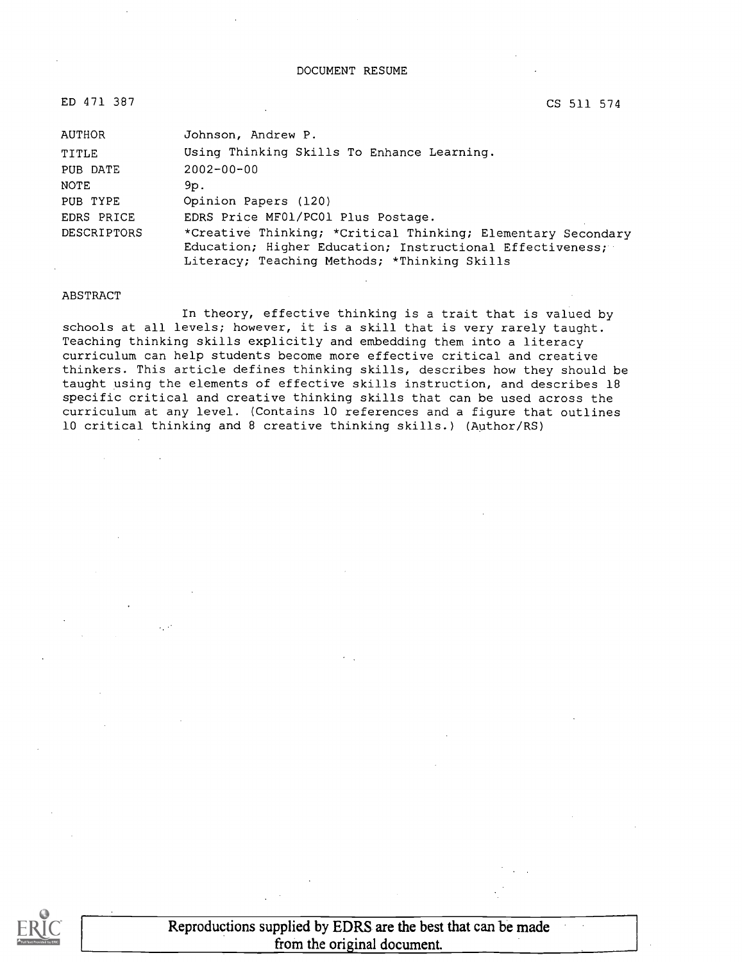#### DOCUMENT RESUME

ED 471 387 CS 511 574

| AUTHOR      | Johnson, Andrew P.                                           |
|-------------|--------------------------------------------------------------|
| TITLE       | Using Thinking Skills To Enhance Learning.                   |
| PUB DATE    | $2002 - 00 - 00$                                             |
| NOTE        | 9p.                                                          |
| PUB TYPE    | Opinion Papers (120)                                         |
| EDRS PRICE  | EDRS Price MF01/PC01 Plus Postage.                           |
| DESCRIPTORS | *Creative Thinking; *Critical Thinking; Elementary Secondary |
|             | Education; Higher Education; Instructional Effectiveness;    |
|             | Literacy; Teaching Methods; *Thinking Skills                 |

#### ABSTRACT

In theory, effective thinking is a trait that is valued by schools at all levels; however, it is a skill that is very rarely taught. Teaching thinking skills explicitly and embedding them into a literacy curriculum can help students become more effective critical and creative thinkers. This article defines thinking skills, describes how they should be taught using the elements of effective skills instruction, and describes 18 specific critical and creative thinking skills that can be used across the curriculum at any level. (Contains 10 references and a figure that outlines 10 critical thinking and 8 creative thinking skills.) (Author/RS)

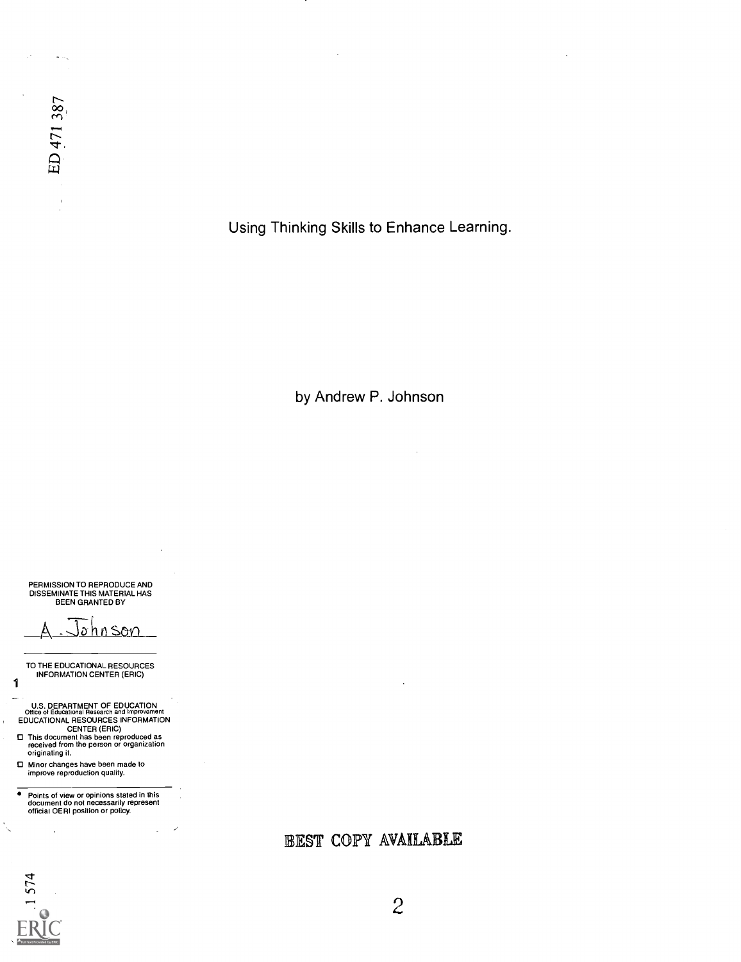Using Thinking Skills to Enhance Learning.

by Andrew P. Johnson

PERMISSION TO REPRODUCE AND DISSEMINATE THIS MATERIAL HAS BEEN GRANTED BY

ohnson

TO THE EDUCATIONAL RESOURCES INFORMATION CENTER (ERIC)

U.S. DEPARTMENT OF EDUCATION Office of Educational Research and Improvement EDUCATIONAL RESOURCES INFORMATION

CENTER (ERIC) This document has been reproduced as received from the person or organization originating it.

O Minor changes have been made to improve reproduction quality.

Points of view or opinions stated in this document do not necessarily represent official OERI position or policy.

BEST COPY AVAILABLE



1

ŕ.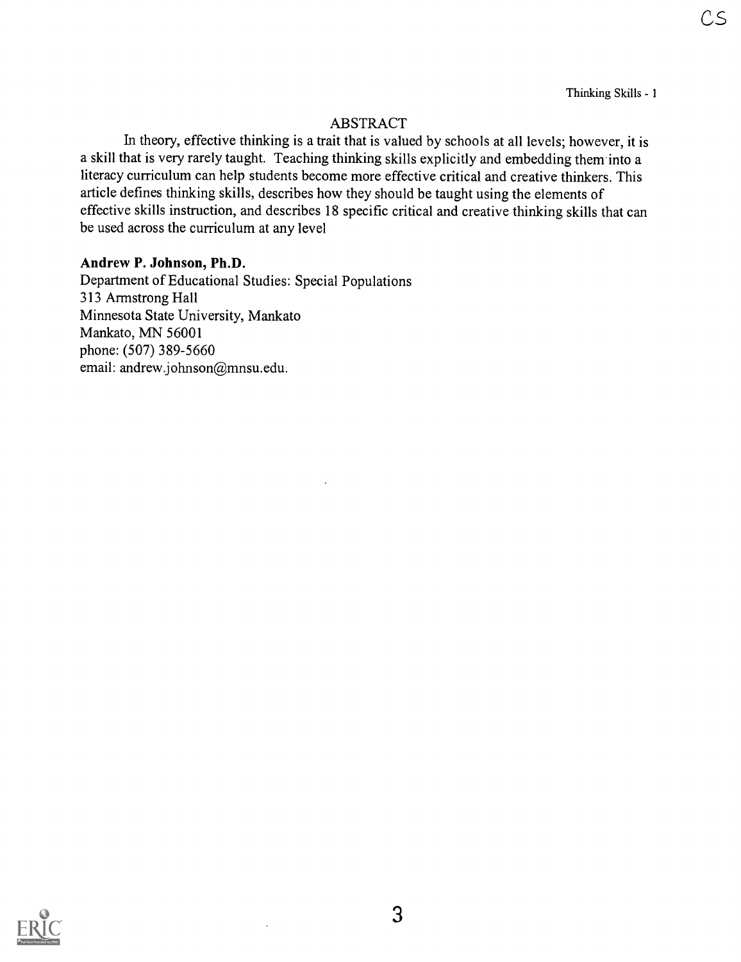Thinking Skills - 1

### ABSTRACT

In theory, effective thinking is a trait that is valued by schools at all levels; however, it is a skill that is very rarely taught. Teaching thinking skills explicitly and embedding them into a literacy curriculum can help students become more effective critical and creative thinkers. This article defines thinking skills, describes how they should be taught using the elements of effective skills instruction, and describes 18 specific critical and creative thinking skills that can be used across the curriculum at any level

#### Andrew P. Johnson, Ph.D.

Department of Educational Studies: Special Populations 313 Armstrong Hall Minnesota State University, Mankato Mankato, MN 56001 phone: (507) 389-5660 email: andrew.johnson@mnsu.edu.

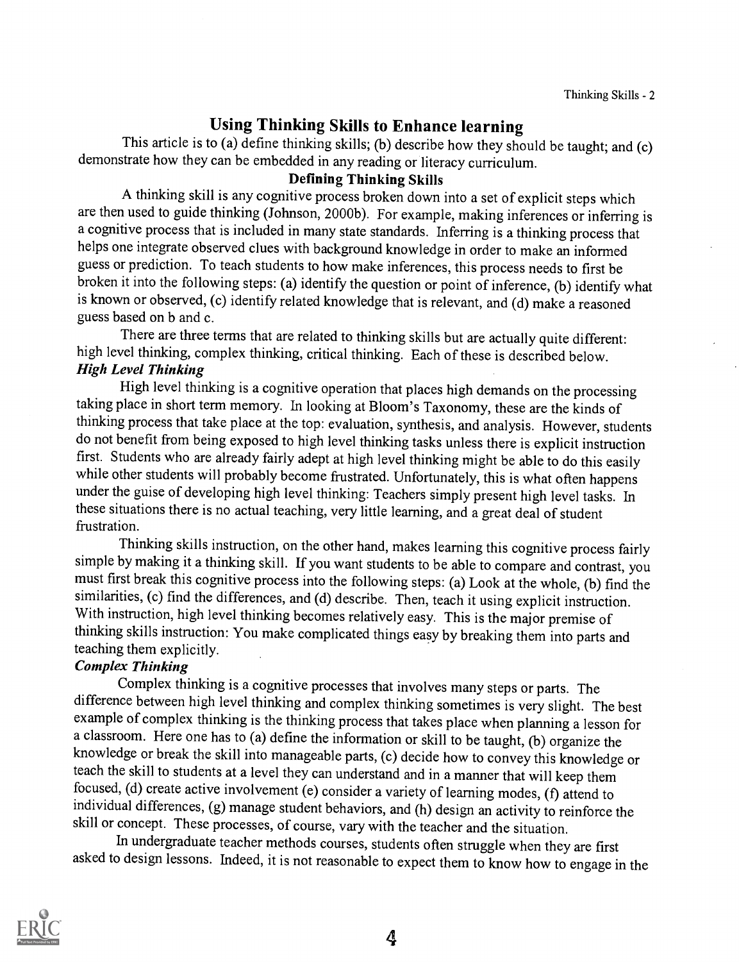#### Using Thinking Skills to Enhance learning

This article is to (a) define thinking skills; (b) describe how they should be taught; and (c) demonstrate how they can be embedded in any reading or literacy curriculum.

#### Defining Thinking Skills

A thinking skill is any cognitive process broken down into a set of explicit steps which are then used to guide thinking (Johnson, 2000b). For example, making inferences or inferring is a cognitive process that is included in many state standards. Inferring is a thinking process that helps one integrate observed clues with background knowledge in order to make an informed guess or prediction. To teach students to how make inferences, this process needs to first be broken it into the following steps: (a) identify the question or point of inference, (b) identify what is known or observed, (c) identify related knowledge that is relevant, and (d) make a reasoned guess based on b and c.

There are three terms that are related to thinking skills but are actually quite different: high level thinking, complex thinking, critical thinking. Each of these is described below. High Level Thinking

High level thinking is a cognitive operation that places high demands on the processing taking place in short term memory. In looking at Bloom's Taxonomy, these are the kinds of thinking process that take place at the top: evaluation, synthesis, and analysis. However, students do not benefit from being exposed to high level thinking tasks unless there is explicit instruction first. Students who are already fairly adept at high level thinking might be able to do this easily while other students will probably become frustrated. Unfortunately, this is what often happens under the guise of developing high level thinking: Teachers simply present high level tasks. In these situations there is no actual teaching, very little learning, and a great deal of student frustration.

Thinking skills instruction, on the other hand, makes learning this cognitive process fairly simple by making it a thinking skill. If you want students to be able to compare and contrast, you must first break this cognitive process into the following steps: (a) Look at the whole, (b) find the similarities, (c) find the differences, and (d) describe. Then, teach it using explicit instruction. With instruction, high level thinking becomes relatively easy. This is the major premise of thinking skills instruction: You make complicated things easy by breaking them into parts and teaching them explicitly.

#### Complex Thinking

Complex thinking is a cognitive processes that involves many steps or parts. The difference between high level thinking and complex thinking sometimes is very slight. The best example of complex thinking is the thinking process that takes place when planning a lesson for a classroom. Here one has to (a) define the information or skill to be taught, (b) organize the knowledge or break the skill into manageable parts, (c) decide how to convey this knowledge or teach the skill to students at a level they can understand and in a manner that will keep them focused, (d) create active involvement (e) consider a variety of learning modes, (f) attend to individual differences, (g) manage student behaviors, and (h) design an activity to reinforce the skill or concept. These processes, of course, vary with the teacher and the situation.

In undergraduate teacher methods courses, students often struggle when they are first asked to design lessons. Indeed, it is not reasonable to expect them to know how to engage in the

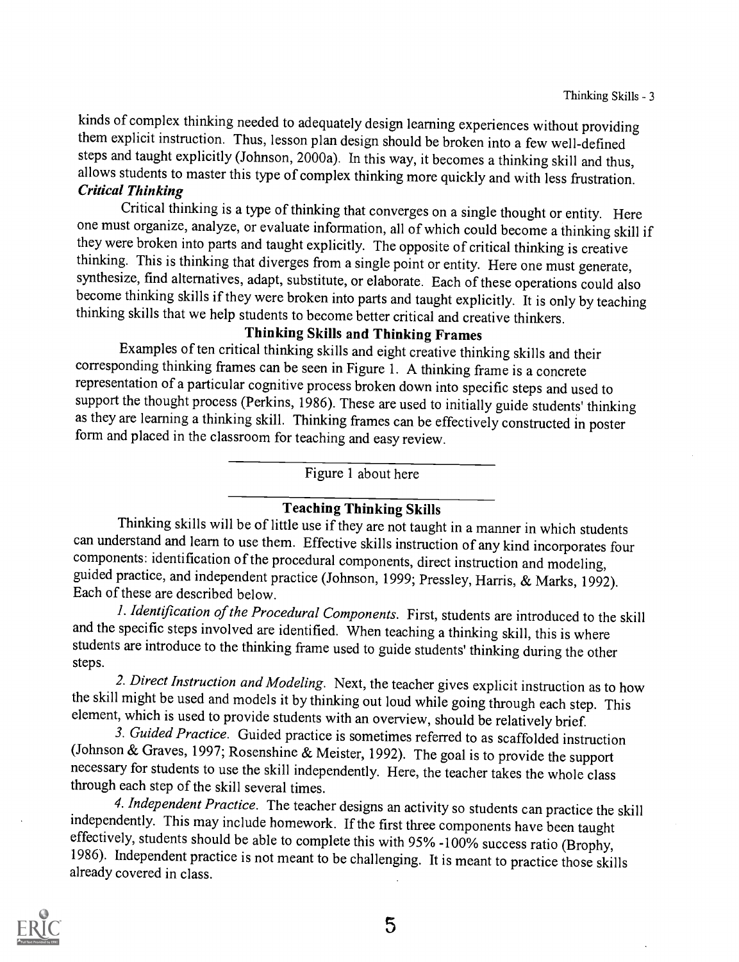kinds of complex thinking needed to adequately design learning experiences without providing them explicit instruction. Thus, lesson plan design should be broken into a few well-defined steps and taught explicitly (Johnson, 2000a). In this way, it becomes a thinking skill and thus, allows students to master this type of complex thinking more quickly and with less frustration.<br>Critical Thinking

Critical thinking is a type of thinking that converges on a single thought or entity. Here one must organize, analyze, or evaluate information, all of which could become a thinking skill if they were broken into parts and taught explicitly. The opposite of critical thinking is creative thinking. This is thinking that diverges from a single point or entity. Here one must generate, synthesize, find alternatives, adapt, substitute, or elaborate. Each of these operations could also become thinking skills if they were broken into parts and taught explicitly. It is only by teaching thinking skills that we help students to become better critical and creative thinkers.

Thinking Skills and Thinking Frames<br>Examples of ten critical thinking skills and eight creative thinking skills and their corresponding thinking frames can be seen in Figure 1. A thinking frame is a concrete representation of a particular cognitive process broken down into specific steps and used to support the thought process (Perkins, 1986). These are used to initially guide students' thinking as they are learning a thinking skill. Thinking frames can be effectively constructed in poster form and placed in the classroom for teaching and easy review.

Figure 1 about here

#### Teaching Thinking Skills

Thinking skills will be of little use if they are not taught in a manner in which students can understand and learn to use them. Effective skills instruction of any kind incorporates four components: identification of the procedural components, direct instruction and modeling, guided practice, and independent practice (Johnson, 1999; Pressley, Harris, & Marks, 1992).<br>Each of these are described below.<br>*1. Identification of the Procedural Components*. First, students are introduced to the skill

and the specific steps involved are identified. When teaching a thinking skill, this is where students are introduce to the thinking frame used to guide students' thinking during the other steps.

2. Direct Instruction and Modeling. Next, the teacher gives explicit instruction as to how the skill might be used and models it by thinking out loud while going through each step. This element, which is used to provide students with an overview, should be relatively brief.

3. Guided Practice. Guided practice is sometimes referred to as scaffolded instruction (Johnson & Graves, 1997; Rosenshine & Meister, 1992). The goal is to provide the support necessary for students to use the skill independently. Here, the teacher takes the whole class through each step of the skill several times.<br>4. Independent Practice. The teacher designs an activity so students can practice the skill

independently. This may include homework. If the first three components have been taught<br>effectively, students should be able to complete this with 95% -100% success ratio (Brophy,<br>1986). Independent practice is not meant already covered in class.



5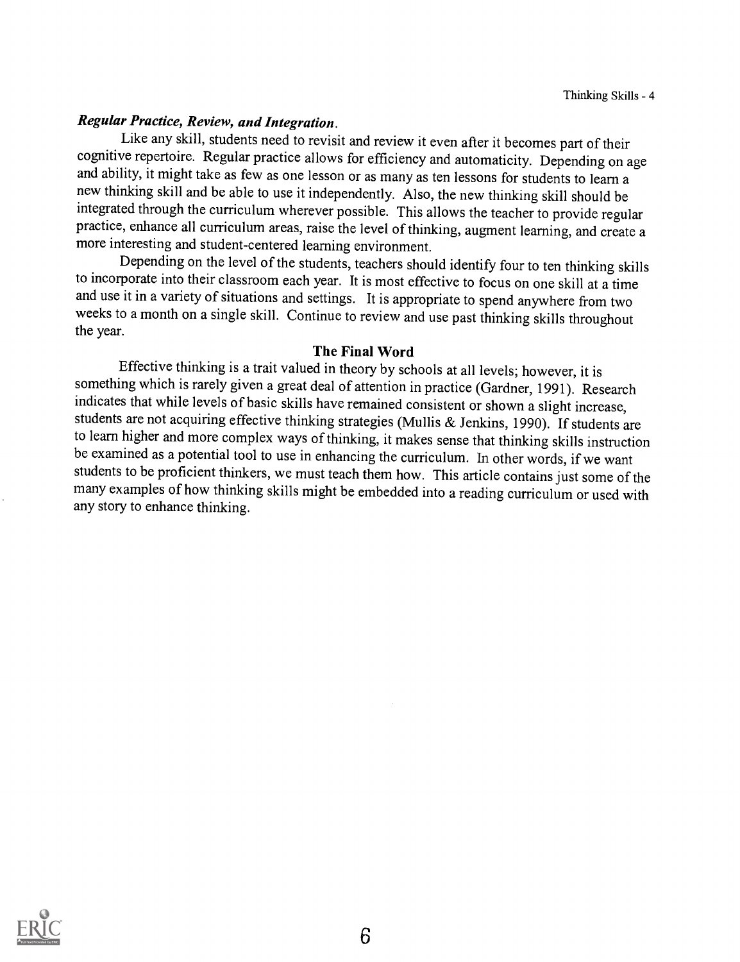#### Regular Practice, Review, and Integration.

Like any skill, students need to revisit and review it even after it becomes part of their cognitive repertoire. Regular practice allows for efficiency and automaticity. Depending on age and ability, it might take as few as one lesson or as many as ten lessons for students to learn a new thinking skill and be able to use it independently. Also, the new thinking skill should be integrated through the curriculum wherever possible. This allows the teacher to provide regular practice, enhance all curriculum areas, raise the level of thinking, augment learning, and create a more interesting and student-centered learning environment.

Depending on the level of the students, teachers should identify four to ten thinking skills to incorporate into their classroom each year. It is most effective to focus on one skill at a time and use it in a variety of situations and settings. It is appropriate to spend anywhere from two weeks to a month on a single skill. Continue to review and use past thinking skills throughout the year.

#### The Final Word

Effective thinking is a trait valued in theory by schools at all levels; however, it is something which is rarely given a great deal of attention in practice (Gardner, 1991). Research indicates that while levels of basic skills have remained consistent or shown a slight increase, students are not acquiring effective thinking strategies (Mullis & Jenkins, 1990). If students are to learn higher and more complex ways of thinking, it makes sense that thinking skills instruction be examined as a potential tool to use in enhancing the curriculum. In other words, if we want students to be proficient thinkers, we must teach them how. This article contains just some of the many examples of how thinking skills might be embedded into a reading curriculum or used with any story to enhance thinking.

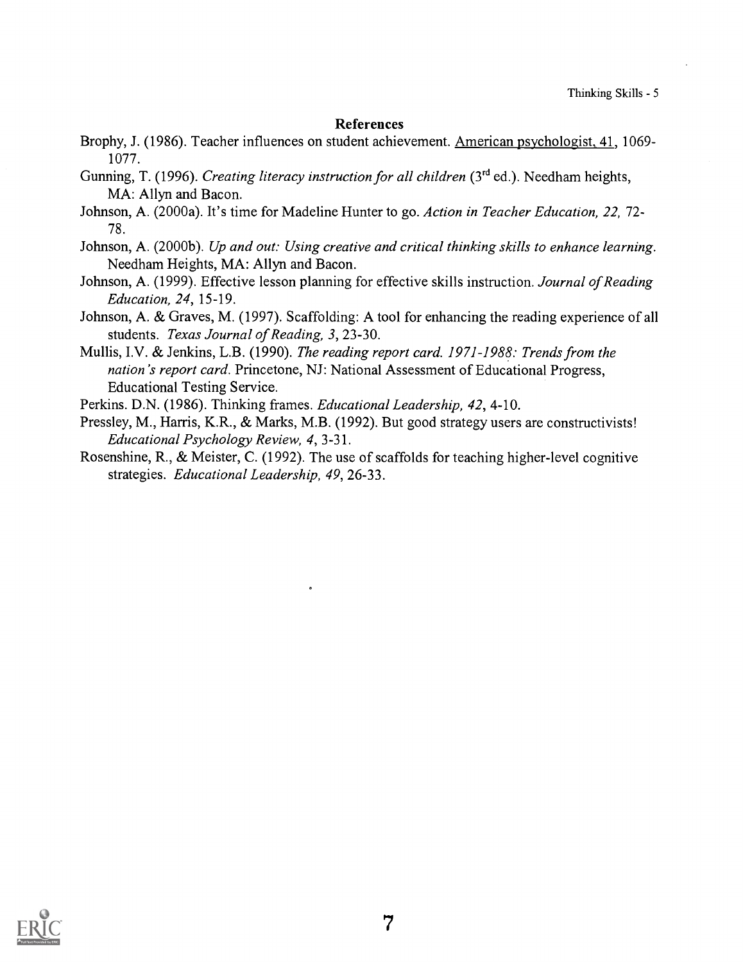#### References

- Brophy, J. (1986). Teacher influences on student achievement. American psychologist, 41, 1069- 1077.
- Gunning, T. (1996). Creating literacy instruction for all children (3<sup>rd</sup> ed.). Needham heights, MA: Allyn and Bacon.
- Johnson, A. (2000a). It's time for Madeline Hunter to go. Action in Teacher Education, 22, 72- 78.
- Johnson, A. (2000b). Up and out: Using creative and critical thinking skills to enhance learning. Needham Heights, MA: Allyn and Bacon.
- Johnson, A. (1999). Effective lesson planning for effective skills instruction. Journal of Reading Education, 24, 15-19.
- Johnson, A. & Graves, M. (1997). Scaffolding: A tool for enhancing the reading experience of all students. Texas Journal of Reading, 3, 23-30.
- Mullis, I.V. & Jenkins, L.B. (1990). The reading report card. 1971-1988: Trends from the nation's report card. Princetone, NJ: National Assessment of Educational Progress, Educational Testing Service.

Perkins. D.N. (1986). Thinking frames. Educational Leadership, 42, 4-10.

- Pressley, M., Harris, K.R., & Marks, M.B. (1992). But good strategy users are constructivists! Educational Psychology Review, 4, 3-31.
- Rosenshine, R., & Meister, C. (1992). The use of scaffolds for teaching higher-level cognitive strategies. Educational Leadership, 49, 26-33.

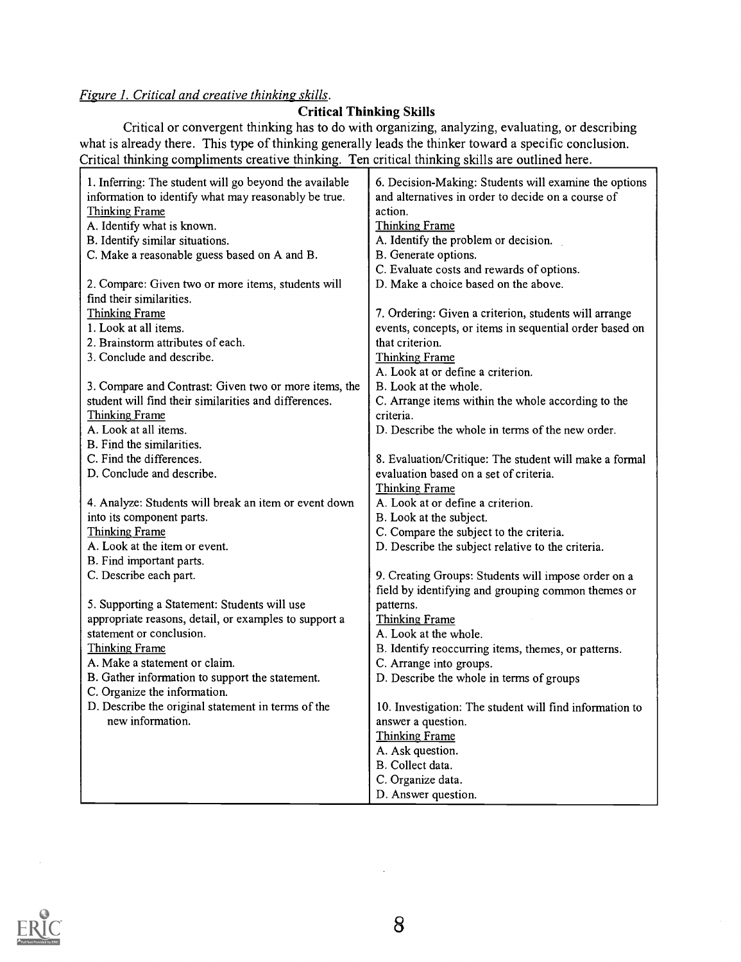#### Figure 1. Critical and creative thinking skills.

#### Critical Thin king Skills

Critical or convergent thinking has to do with organizing, analyzing, evaluating, or describing what is already there. This type of thinking generally leads the thinker toward a specific conclusion. Critical thinking compliments creative thinking. Ten critical thinking skills are outlined here.

| 1. Inferring: The student will go beyond the available | 6. Decision-Making: Students will examine the options   |  |
|--------------------------------------------------------|---------------------------------------------------------|--|
| information to identify what may reasonably be true.   | and alternatives in order to decide on a course of      |  |
| Thinking Frame                                         | action.                                                 |  |
| A. Identify what is known.                             | <b>Thinking Frame</b>                                   |  |
| B. Identify similar situations.                        | A. Identify the problem or decision.                    |  |
| C. Make a reasonable guess based on A and B.           | B. Generate options.                                    |  |
|                                                        | C. Evaluate costs and rewards of options.               |  |
| 2. Compare: Given two or more items, students will     | D. Make a choice based on the above.                    |  |
| find their similarities.                               |                                                         |  |
| Thinking Frame                                         | 7. Ordering: Given a criterion, students will arrange   |  |
| 1. Look at all items.                                  | events, concepts, or items in sequential order based on |  |
| 2. Brainstorm attributes of each.                      | that criterion.                                         |  |
| 3. Conclude and describe.                              | <b>Thinking Frame</b>                                   |  |
|                                                        | A. Look at or define a criterion.                       |  |
| 3. Compare and Contrast: Given two or more items, the  | B. Look at the whole.                                   |  |
| student will find their similarities and differences.  | C. Arrange items within the whole according to the      |  |
| Thinking Frame                                         | criteria.                                               |  |
| A. Look at all items.                                  | D. Describe the whole in terms of the new order.        |  |
| B. Find the similarities.                              |                                                         |  |
| C. Find the differences.                               | 8. Evaluation/Critique: The student will make a formal  |  |
| D. Conclude and describe.                              | evaluation based on a set of criteria.                  |  |
|                                                        | <b>Thinking Frame</b>                                   |  |
| 4. Analyze: Students will break an item or event down  | A. Look at or define a criterion.                       |  |
| into its component parts.                              | B. Look at the subject.                                 |  |
| Thinking Frame                                         | C. Compare the subject to the criteria.                 |  |
| A. Look at the item or event.                          | D. Describe the subject relative to the criteria.       |  |
| B. Find important parts.                               |                                                         |  |
| C. Describe each part.                                 | 9. Creating Groups: Students will impose order on a     |  |
|                                                        | field by identifying and grouping common themes or      |  |
| 5. Supporting a Statement: Students will use           | patterns.                                               |  |
| appropriate reasons, detail, or examples to support a  | Thinking Frame                                          |  |
| statement or conclusion.                               | A. Look at the whole.                                   |  |
| Thinking Frame                                         | B. Identify reoccurring items, themes, or patterns.     |  |
| A. Make a statement or claim.                          | C. Arrange into groups.                                 |  |
| B. Gather information to support the statement.        | D. Describe the whole in terms of groups                |  |
| C. Organize the information.                           |                                                         |  |
| D. Describe the original statement in terms of the     | 10. Investigation: The student will find information to |  |
| new information.                                       | answer a question.                                      |  |
|                                                        | <b>Thinking Frame</b>                                   |  |
|                                                        | A. Ask question.                                        |  |
|                                                        | B. Collect data.                                        |  |
|                                                        | C. Organize data.                                       |  |
|                                                        | D. Answer question.                                     |  |

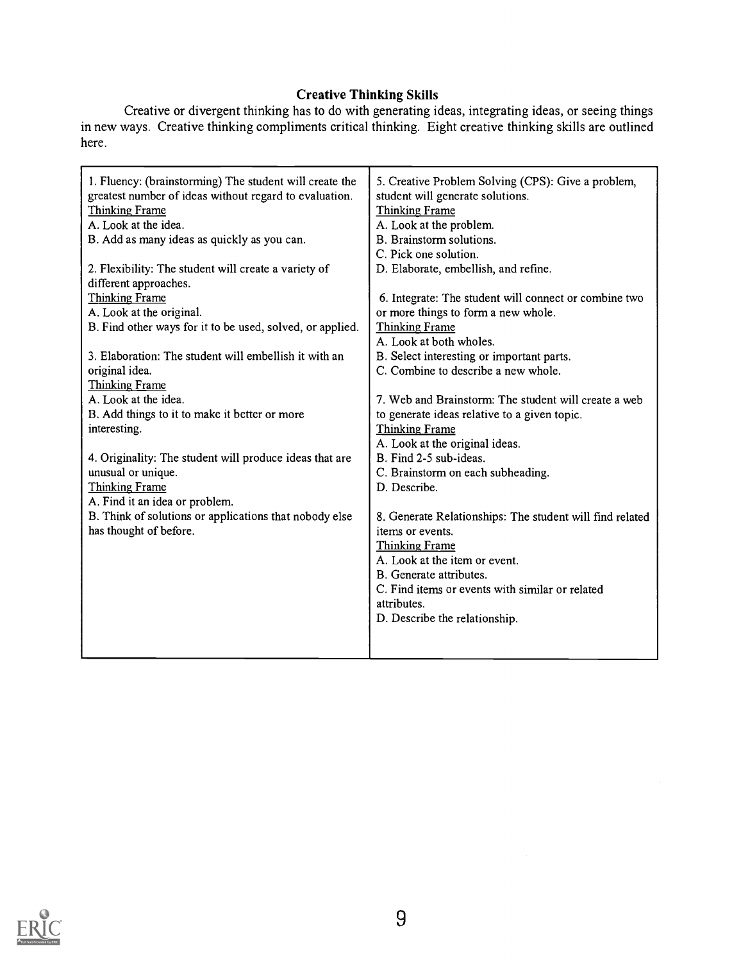#### Creative Thi nking Skills

Creative or divergent thinking has to do with in new ways. Creative thinking compliments critical here. generating ideas, integrating ideas, or seeing things thinking. Eight creative thinking skills are outlined

| 1. Fluency: (brainstorming) The student will create the<br>greatest number of ideas without regard to evaluation.<br><b>Thinking Frame</b><br>A. Look at the idea.<br>B. Add as many ideas as quickly as you can.<br>2. Flexibility: The student will create a variety of<br>different approaches.<br>Thinking Frame | 5. Creative Problem Solving (CPS): Give a problem,<br>student will generate solutions.<br><b>Thinking Frame</b><br>A. Look at the problem.<br>B. Brainstorm solutions.<br>C. Pick one solution.<br>D. Elaborate, embellish, and refine.<br>6. Integrate: The student will connect or combine two |  |
|----------------------------------------------------------------------------------------------------------------------------------------------------------------------------------------------------------------------------------------------------------------------------------------------------------------------|--------------------------------------------------------------------------------------------------------------------------------------------------------------------------------------------------------------------------------------------------------------------------------------------------|--|
| A. Look at the original.                                                                                                                                                                                                                                                                                             | or more things to form a new whole.                                                                                                                                                                                                                                                              |  |
| B. Find other ways for it to be used, solved, or applied.                                                                                                                                                                                                                                                            | <b>Thinking Frame</b>                                                                                                                                                                                                                                                                            |  |
|                                                                                                                                                                                                                                                                                                                      | A. Look at both wholes.                                                                                                                                                                                                                                                                          |  |
| 3. Elaboration: The student will embellish it with an                                                                                                                                                                                                                                                                | B. Select interesting or important parts.                                                                                                                                                                                                                                                        |  |
| original idea.                                                                                                                                                                                                                                                                                                       | C. Combine to describe a new whole.                                                                                                                                                                                                                                                              |  |
| <b>Thinking Frame</b>                                                                                                                                                                                                                                                                                                |                                                                                                                                                                                                                                                                                                  |  |
| A. Look at the idea.                                                                                                                                                                                                                                                                                                 | 7. Web and Brainstorm: The student will create a web                                                                                                                                                                                                                                             |  |
| B. Add things to it to make it better or more                                                                                                                                                                                                                                                                        | to generate ideas relative to a given topic.                                                                                                                                                                                                                                                     |  |
| interesting.                                                                                                                                                                                                                                                                                                         | <b>Thinking Frame</b>                                                                                                                                                                                                                                                                            |  |
|                                                                                                                                                                                                                                                                                                                      | A. Look at the original ideas.                                                                                                                                                                                                                                                                   |  |
| 4. Originality: The student will produce ideas that are                                                                                                                                                                                                                                                              | B. Find 2-5 sub-ideas.                                                                                                                                                                                                                                                                           |  |
| unusual or unique.                                                                                                                                                                                                                                                                                                   | C. Brainstorm on each subheading.                                                                                                                                                                                                                                                                |  |
| <b>Thinking Frame</b>                                                                                                                                                                                                                                                                                                | D. Describe.                                                                                                                                                                                                                                                                                     |  |
| A. Find it an idea or problem.                                                                                                                                                                                                                                                                                       |                                                                                                                                                                                                                                                                                                  |  |
| B. Think of solutions or applications that nobody else<br>has thought of before.                                                                                                                                                                                                                                     | 8. Generate Relationships: The student will find related<br>items or events.                                                                                                                                                                                                                     |  |
|                                                                                                                                                                                                                                                                                                                      | <b>Thinking Frame</b><br>A. Look at the item or event.                                                                                                                                                                                                                                           |  |
|                                                                                                                                                                                                                                                                                                                      | B. Generate attributes.                                                                                                                                                                                                                                                                          |  |
|                                                                                                                                                                                                                                                                                                                      | C. Find items or events with similar or related                                                                                                                                                                                                                                                  |  |
|                                                                                                                                                                                                                                                                                                                      | attributes.                                                                                                                                                                                                                                                                                      |  |
|                                                                                                                                                                                                                                                                                                                      | D. Describe the relationship.                                                                                                                                                                                                                                                                    |  |
|                                                                                                                                                                                                                                                                                                                      |                                                                                                                                                                                                                                                                                                  |  |
|                                                                                                                                                                                                                                                                                                                      |                                                                                                                                                                                                                                                                                                  |  |
|                                                                                                                                                                                                                                                                                                                      |                                                                                                                                                                                                                                                                                                  |  |

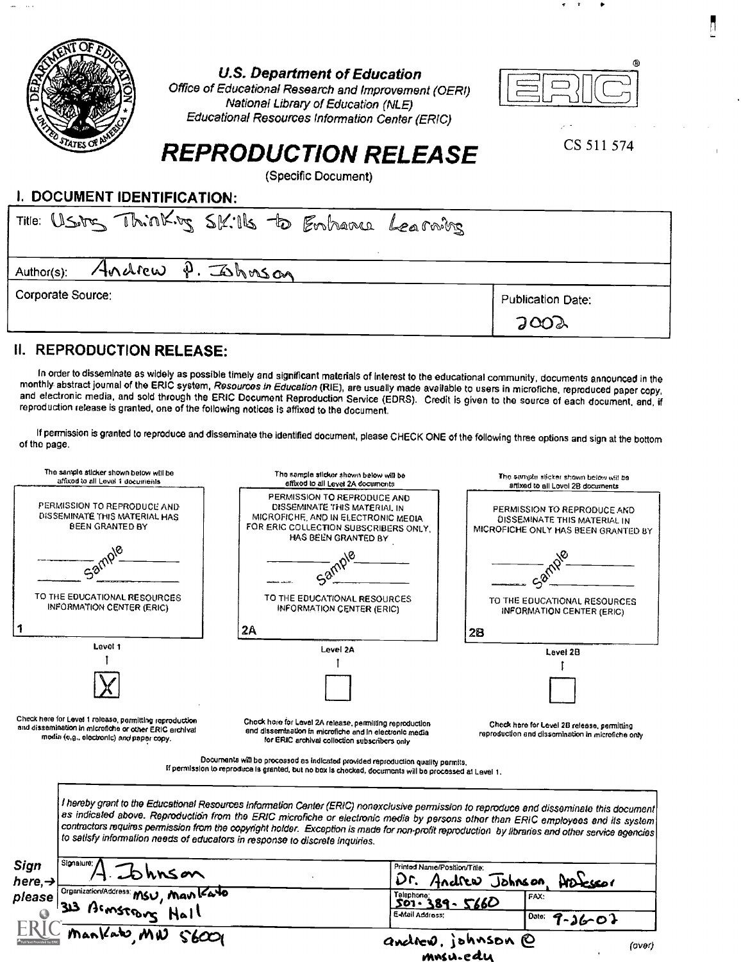

#### U.S. Department of Education

Office of Educational Research and Improvement (OERI) National Library of Education (NLE) Educational Resources Information Center (ERIC)



 $r = r$ 

CS 511 574

# REPRODUCTION RELEASE

(Specific Document)

### I. DOCUMENT IDENTIFICATION:

| Title: USing Thinking SK: 16 to Enhance Learning |                   |
|--------------------------------------------------|-------------------|
| Andrew P. Johnson<br>Author(s):                  |                   |
| Corporate Source:                                | Publication Date: |
|                                                  | 2002              |

### II. REPRODUCTION RELEASE:

In order to disseminate as widely as possible timely and significant materials of interest to the educational community, documents announced in the monthly abstract journal of the ERIC system, Resources in Education (RIE),

If permission is granted to reproduce and disseminate the identified document, please CHECK ONE of the following three options and sign at the bottom of the page.

| The sample sticker shown below will be<br>affixed to all Level 1 documents                                                                                    | The sample sticker shown below will be<br>affixed to all Level 2A documents                                                                                                                                                                                                                                                                                                                                                                                                                                       | The sample sticker shown below will be<br>artixed to all Lovel 2B documents                        |
|---------------------------------------------------------------------------------------------------------------------------------------------------------------|-------------------------------------------------------------------------------------------------------------------------------------------------------------------------------------------------------------------------------------------------------------------------------------------------------------------------------------------------------------------------------------------------------------------------------------------------------------------------------------------------------------------|----------------------------------------------------------------------------------------------------|
| PERMISSION TO REPRODUCE AND<br>DISSEMINATE THIS MATERIAL HAS<br><b>BEEN GRANTED BY</b>                                                                        | PERMISSION TO REPRODUCE AND<br>DISSEMINATE THIS MATERIAL IN<br>MICROFICHE, AND IN ELECTRONIC MEDIA<br>FOR ERIC COLLECTION SUBSCRIBERS ONLY,<br>HAS BEEN GRANTED BY                                                                                                                                                                                                                                                                                                                                                | PERMISSION TO REPRODUCE AND<br>DISSEMINATE THIS MATERIAL IN<br>MICROFICHE ONLY HAS BEEN GRANTED BY |
|                                                                                                                                                               |                                                                                                                                                                                                                                                                                                                                                                                                                                                                                                                   |                                                                                                    |
| TO THE EDUCATIONAL RESOURCES<br>INFORMATION CENTER (ERIC)                                                                                                     | TO THE EDUCATIONAL RESOURCES<br>INFORMATION CENTER (ERIC)                                                                                                                                                                                                                                                                                                                                                                                                                                                         | TO THE EDUCATIONAL RESOURCES<br><b>INFORMATION CENTER (ERIC)</b>                                   |
| -1                                                                                                                                                            | 2A                                                                                                                                                                                                                                                                                                                                                                                                                                                                                                                | 28                                                                                                 |
| Level 1                                                                                                                                                       | Level 2A                                                                                                                                                                                                                                                                                                                                                                                                                                                                                                          | Level 2B                                                                                           |
|                                                                                                                                                               |                                                                                                                                                                                                                                                                                                                                                                                                                                                                                                                   |                                                                                                    |
|                                                                                                                                                               |                                                                                                                                                                                                                                                                                                                                                                                                                                                                                                                   |                                                                                                    |
| Check here for Level 1 release, permitting reproduction<br>and dissemination in microfiche or other ERIC archival<br>modia (e.g., electronic) and paper copy. | Chock hore for Level 2A release, permitting reproduction<br>and dissemination in microfiche and in electronic media<br>for ERIC archival collection subscribers only                                                                                                                                                                                                                                                                                                                                              | Check here for Level 2B release, permitting<br>reproduction and dissemination in microfiche only   |
|                                                                                                                                                               | Documents will be processed as indicated provided reproduction quality permits.<br>If permission to reproduce is granted, but no box is checked, documents will be processed at Lavel 1.                                                                                                                                                                                                                                                                                                                          |                                                                                                    |
|                                                                                                                                                               | I hereby grant to the Educational Resources Information Center (ERIC) nonexclusive permission to reproduce and disseminate this document<br>as indicated above. Reproduction from the ERIC microfiche or electronic media by persons other than ERIC employees and its system<br>contractors requires permission from the copyright holder. Exception is made for non-profit reproduction by libraries and other service agencies<br>to satisfy information needs of educators in response to discrete inquiries. |                                                                                                    |
| Signature;<br>Sign<br>hnson<br>here, $\rightarrow$                                                                                                            | Printed Name/Position/Trile:                                                                                                                                                                                                                                                                                                                                                                                                                                                                                      | Dr. Andrew Johnson                                                                                 |
| Organization/Address: MSU, Man Kato<br>please                                                                                                                 | Telephone:<br>$501.389 - 5660$                                                                                                                                                                                                                                                                                                                                                                                                                                                                                    | FAX:                                                                                               |
| $11aH$ note                                                                                                                                                   | E-Mail Address:                                                                                                                                                                                                                                                                                                                                                                                                                                                                                                   | Date:<br>$9 - 36 - 07$                                                                             |
|                                                                                                                                                               |                                                                                                                                                                                                                                                                                                                                                                                                                                                                                                                   | andrew, johnson @                                                                                  |
|                                                                                                                                                               |                                                                                                                                                                                                                                                                                                                                                                                                                                                                                                                   | (over)<br>mnsu.edu                                                                                 |